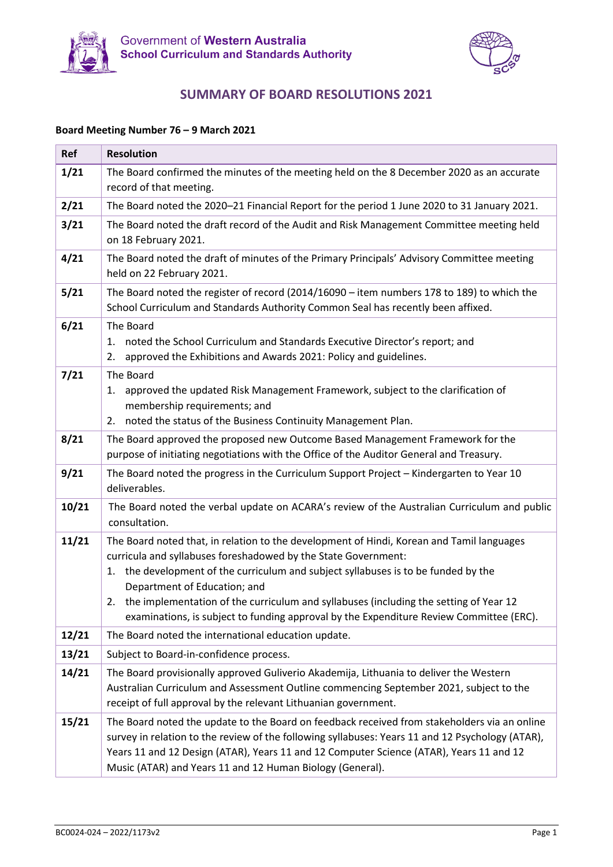



### **SUMMARY OF BOARD RESOLUTIONS 2021**

#### **Board Meeting Number 76 – 9 March 2021**

| Ref   | <b>Resolution</b>                                                                                                                                                                                                                                                                                                                                                                                                                                                           |  |
|-------|-----------------------------------------------------------------------------------------------------------------------------------------------------------------------------------------------------------------------------------------------------------------------------------------------------------------------------------------------------------------------------------------------------------------------------------------------------------------------------|--|
| 1/21  | The Board confirmed the minutes of the meeting held on the 8 December 2020 as an accurate<br>record of that meeting.                                                                                                                                                                                                                                                                                                                                                        |  |
| 2/21  | The Board noted the 2020-21 Financial Report for the period 1 June 2020 to 31 January 2021.                                                                                                                                                                                                                                                                                                                                                                                 |  |
| 3/21  | The Board noted the draft record of the Audit and Risk Management Committee meeting held<br>on 18 February 2021.                                                                                                                                                                                                                                                                                                                                                            |  |
| 4/21  | The Board noted the draft of minutes of the Primary Principals' Advisory Committee meeting<br>held on 22 February 2021.                                                                                                                                                                                                                                                                                                                                                     |  |
| 5/21  | The Board noted the register of record (2014/16090 - item numbers 178 to 189) to which the<br>School Curriculum and Standards Authority Common Seal has recently been affixed.                                                                                                                                                                                                                                                                                              |  |
| 6/21  | The Board<br>noted the School Curriculum and Standards Executive Director's report; and<br>1.<br>approved the Exhibitions and Awards 2021: Policy and guidelines.<br>2.                                                                                                                                                                                                                                                                                                     |  |
| 7/21  | The Board<br>approved the updated Risk Management Framework, subject to the clarification of<br>1.<br>membership requirements; and<br>noted the status of the Business Continuity Management Plan.<br>2.                                                                                                                                                                                                                                                                    |  |
| 8/21  | The Board approved the proposed new Outcome Based Management Framework for the<br>purpose of initiating negotiations with the Office of the Auditor General and Treasury.                                                                                                                                                                                                                                                                                                   |  |
| 9/21  | The Board noted the progress in the Curriculum Support Project - Kindergarten to Year 10<br>deliverables.                                                                                                                                                                                                                                                                                                                                                                   |  |
| 10/21 | The Board noted the verbal update on ACARA's review of the Australian Curriculum and public<br>consultation.                                                                                                                                                                                                                                                                                                                                                                |  |
| 11/21 | The Board noted that, in relation to the development of Hindi, Korean and Tamil languages<br>curricula and syllabuses foreshadowed by the State Government:<br>the development of the curriculum and subject syllabuses is to be funded by the<br>1.<br>Department of Education; and<br>2. the implementation of the curriculum and syllabuses (including the setting of Year 12<br>examinations, is subject to funding approval by the Expenditure Review Committee (ERC). |  |
| 12/21 | The Board noted the international education update.                                                                                                                                                                                                                                                                                                                                                                                                                         |  |
| 13/21 | Subject to Board-in-confidence process.                                                                                                                                                                                                                                                                                                                                                                                                                                     |  |
| 14/21 | The Board provisionally approved Guliverio Akademija, Lithuania to deliver the Western<br>Australian Curriculum and Assessment Outline commencing September 2021, subject to the<br>receipt of full approval by the relevant Lithuanian government.                                                                                                                                                                                                                         |  |
| 15/21 | The Board noted the update to the Board on feedback received from stakeholders via an online<br>survey in relation to the review of the following syllabuses: Years 11 and 12 Psychology (ATAR),<br>Years 11 and 12 Design (ATAR), Years 11 and 12 Computer Science (ATAR), Years 11 and 12<br>Music (ATAR) and Years 11 and 12 Human Biology (General).                                                                                                                    |  |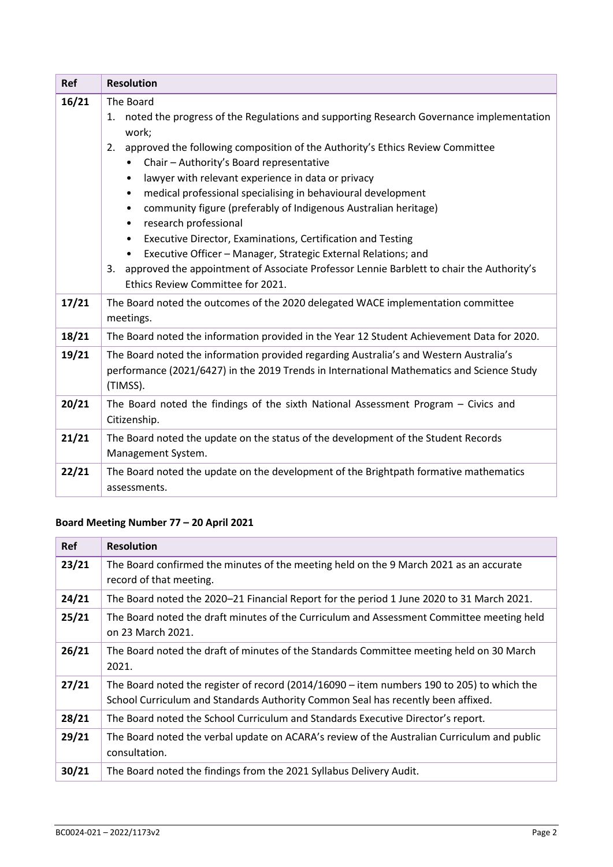| Ref   | <b>Resolution</b>                                                                                                                                                                                                                                                                                                                                                                                                                                                                                                                                                                                                                                                                                                                                                                                                |  |
|-------|------------------------------------------------------------------------------------------------------------------------------------------------------------------------------------------------------------------------------------------------------------------------------------------------------------------------------------------------------------------------------------------------------------------------------------------------------------------------------------------------------------------------------------------------------------------------------------------------------------------------------------------------------------------------------------------------------------------------------------------------------------------------------------------------------------------|--|
| 16/21 | The Board<br>noted the progress of the Regulations and supporting Research Governance implementation<br>1.<br>work;<br>2. approved the following composition of the Authority's Ethics Review Committee<br>Chair - Authority's Board representative<br>$\bullet$<br>lawyer with relevant experience in data or privacy<br>٠<br>medical professional specialising in behavioural development<br>$\bullet$<br>community figure (preferably of Indigenous Australian heritage)<br>$\bullet$<br>research professional<br>$\bullet$<br>Executive Director, Examinations, Certification and Testing<br>$\bullet$<br>Executive Officer - Manager, Strategic External Relations; and<br>3. approved the appointment of Associate Professor Lennie Barblett to chair the Authority's<br>Ethics Review Committee for 2021. |  |
| 17/21 | The Board noted the outcomes of the 2020 delegated WACE implementation committee<br>meetings.                                                                                                                                                                                                                                                                                                                                                                                                                                                                                                                                                                                                                                                                                                                    |  |
| 18/21 | The Board noted the information provided in the Year 12 Student Achievement Data for 2020.                                                                                                                                                                                                                                                                                                                                                                                                                                                                                                                                                                                                                                                                                                                       |  |
| 19/21 | The Board noted the information provided regarding Australia's and Western Australia's<br>performance (2021/6427) in the 2019 Trends in International Mathematics and Science Study<br>(TIMSS).                                                                                                                                                                                                                                                                                                                                                                                                                                                                                                                                                                                                                  |  |
| 20/21 | The Board noted the findings of the sixth National Assessment Program - Civics and<br>Citizenship.                                                                                                                                                                                                                                                                                                                                                                                                                                                                                                                                                                                                                                                                                                               |  |
| 21/21 | The Board noted the update on the status of the development of the Student Records<br>Management System.                                                                                                                                                                                                                                                                                                                                                                                                                                                                                                                                                                                                                                                                                                         |  |
| 22/21 | The Board noted the update on the development of the Brightpath formative mathematics<br>assessments.                                                                                                                                                                                                                                                                                                                                                                                                                                                                                                                                                                                                                                                                                                            |  |

# **Board Meeting Number 77 – 20 April 2021**

| <b>Ref</b> | <b>Resolution</b>                                                                                                                                                                |  |
|------------|----------------------------------------------------------------------------------------------------------------------------------------------------------------------------------|--|
| 23/21      | The Board confirmed the minutes of the meeting held on the 9 March 2021 as an accurate<br>record of that meeting.                                                                |  |
| 24/21      | The Board noted the 2020-21 Financial Report for the period 1 June 2020 to 31 March 2021.                                                                                        |  |
| 25/21      | The Board noted the draft minutes of the Curriculum and Assessment Committee meeting held<br>on 23 March 2021.                                                                   |  |
| 26/21      | The Board noted the draft of minutes of the Standards Committee meeting held on 30 March<br>2021.                                                                                |  |
| 27/21      | The Board noted the register of record $(2014/16090 -$ item numbers 190 to 205) to which the<br>School Curriculum and Standards Authority Common Seal has recently been affixed. |  |
| 28/21      | The Board noted the School Curriculum and Standards Executive Director's report.                                                                                                 |  |
| 29/21      | The Board noted the verbal update on ACARA's review of the Australian Curriculum and public<br>consultation.                                                                     |  |
| 30/21      | The Board noted the findings from the 2021 Syllabus Delivery Audit.                                                                                                              |  |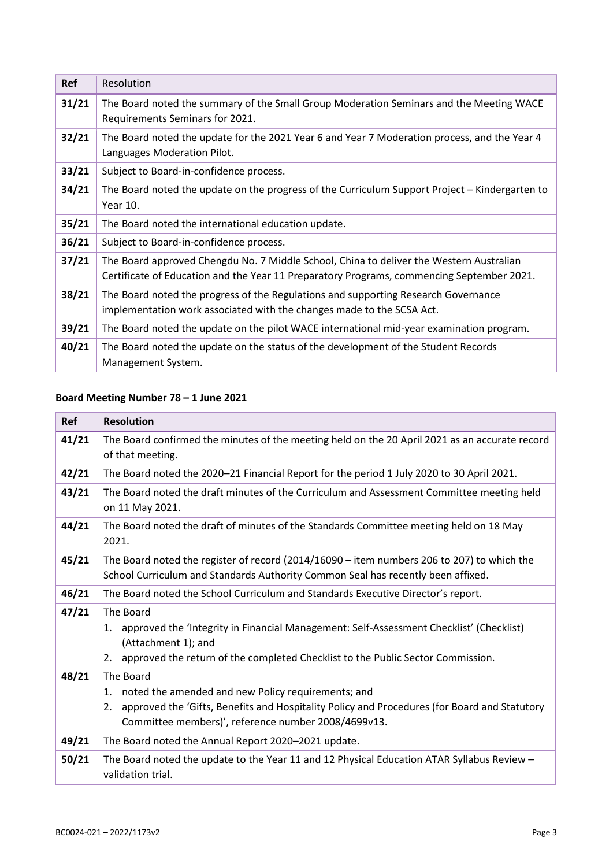| <b>Ref</b> | Resolution                                                                                                                                                                           |
|------------|--------------------------------------------------------------------------------------------------------------------------------------------------------------------------------------|
| 31/21      | The Board noted the summary of the Small Group Moderation Seminars and the Meeting WACE<br>Requirements Seminars for 2021.                                                           |
| 32/21      | The Board noted the update for the 2021 Year 6 and Year 7 Moderation process, and the Year 4<br>Languages Moderation Pilot.                                                          |
| 33/21      | Subject to Board-in-confidence process.                                                                                                                                              |
| 34/21      | The Board noted the update on the progress of the Curriculum Support Project – Kindergarten to<br>Year 10.                                                                           |
| 35/21      | The Board noted the international education update.                                                                                                                                  |
| 36/21      | Subject to Board-in-confidence process.                                                                                                                                              |
| 37/21      | The Board approved Chengdu No. 7 Middle School, China to deliver the Western Australian<br>Certificate of Education and the Year 11 Preparatory Programs, commencing September 2021. |
| 38/21      | The Board noted the progress of the Regulations and supporting Research Governance<br>implementation work associated with the changes made to the SCSA Act.                          |
| 39/21      | The Board noted the update on the pilot WACE international mid-year examination program.                                                                                             |
| 40/21      | The Board noted the update on the status of the development of the Student Records<br>Management System.                                                                             |

### **Board Meeting Number 78 – 1 June 2021**

| <b>Ref</b> | <b>Resolution</b>                                                                                                                                                                                                                  |
|------------|------------------------------------------------------------------------------------------------------------------------------------------------------------------------------------------------------------------------------------|
| 41/21      | The Board confirmed the minutes of the meeting held on the 20 April 2021 as an accurate record<br>of that meeting.                                                                                                                 |
| 42/21      | The Board noted the 2020-21 Financial Report for the period 1 July 2020 to 30 April 2021.                                                                                                                                          |
| 43/21      | The Board noted the draft minutes of the Curriculum and Assessment Committee meeting held<br>on 11 May 2021.                                                                                                                       |
| 44/21      | The Board noted the draft of minutes of the Standards Committee meeting held on 18 May<br>2021.                                                                                                                                    |
| 45/21      | The Board noted the register of record $(2014/16090 - item$ numbers 206 to 207) to which the<br>School Curriculum and Standards Authority Common Seal has recently been affixed.                                                   |
| 46/21      | The Board noted the School Curriculum and Standards Executive Director's report.                                                                                                                                                   |
| 47/21      | The Board<br>approved the 'Integrity in Financial Management: Self-Assessment Checklist' (Checklist)<br>1.<br>(Attachment 1); and<br>approved the return of the completed Checklist to the Public Sector Commission.<br>2.         |
| 48/21      | The Board<br>noted the amended and new Policy requirements; and<br>1.<br>approved the 'Gifts, Benefits and Hospitality Policy and Procedures (for Board and Statutory<br>2.<br>Committee members)', reference number 2008/4699v13. |
| 49/21      | The Board noted the Annual Report 2020-2021 update.                                                                                                                                                                                |
| 50/21      | The Board noted the update to the Year 11 and 12 Physical Education ATAR Syllabus Review -<br>validation trial.                                                                                                                    |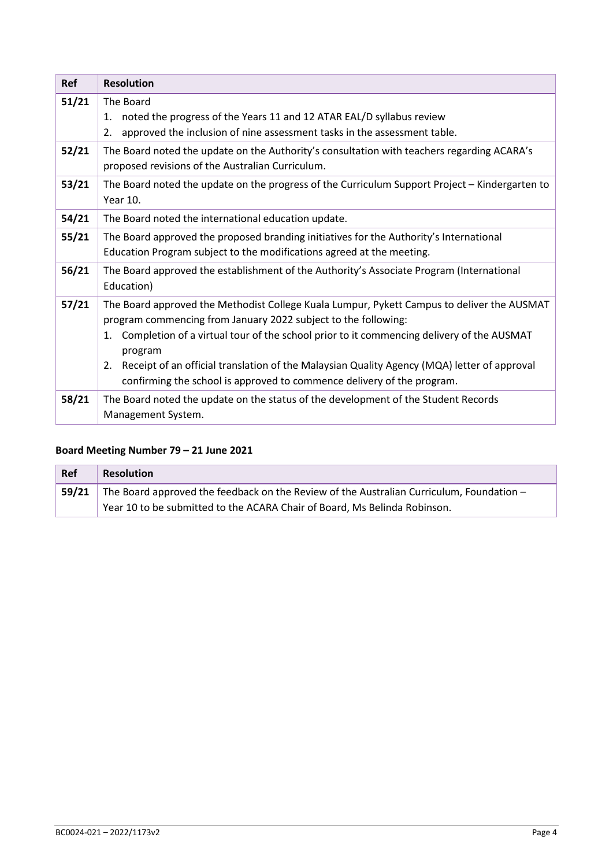| <b>Ref</b> | <b>Resolution</b>                                                                                                                                                                                                                                                                                                                                                                                                                                        |
|------------|----------------------------------------------------------------------------------------------------------------------------------------------------------------------------------------------------------------------------------------------------------------------------------------------------------------------------------------------------------------------------------------------------------------------------------------------------------|
| 51/21      | The Board<br>noted the progress of the Years 11 and 12 ATAR EAL/D syllabus review<br>1.<br>approved the inclusion of nine assessment tasks in the assessment table.<br>2.                                                                                                                                                                                                                                                                                |
| 52/21      | The Board noted the update on the Authority's consultation with teachers regarding ACARA's<br>proposed revisions of the Australian Curriculum.                                                                                                                                                                                                                                                                                                           |
| 53/21      | The Board noted the update on the progress of the Curriculum Support Project - Kindergarten to<br>Year 10.                                                                                                                                                                                                                                                                                                                                               |
| 54/21      | The Board noted the international education update.                                                                                                                                                                                                                                                                                                                                                                                                      |
| 55/21      | The Board approved the proposed branding initiatives for the Authority's International<br>Education Program subject to the modifications agreed at the meeting.                                                                                                                                                                                                                                                                                          |
| 56/21      | The Board approved the establishment of the Authority's Associate Program (International<br>Education)                                                                                                                                                                                                                                                                                                                                                   |
| 57/21      | The Board approved the Methodist College Kuala Lumpur, Pykett Campus to deliver the AUSMAT<br>program commencing from January 2022 subject to the following:<br>Completion of a virtual tour of the school prior to it commencing delivery of the AUSMAT<br>1.<br>program<br>Receipt of an official translation of the Malaysian Quality Agency (MQA) letter of approval<br>2.<br>confirming the school is approved to commence delivery of the program. |
| 58/21      | The Board noted the update on the status of the development of the Student Records<br>Management System.                                                                                                                                                                                                                                                                                                                                                 |

## **Board Meeting Number 79 – 21 June 2021**

| Ref   | <b>Resolution</b>                                                                        |  |
|-------|------------------------------------------------------------------------------------------|--|
| 59/21 | The Board approved the feedback on the Review of the Australian Curriculum, Foundation - |  |
|       | Year 10 to be submitted to the ACARA Chair of Board, Ms Belinda Robinson.                |  |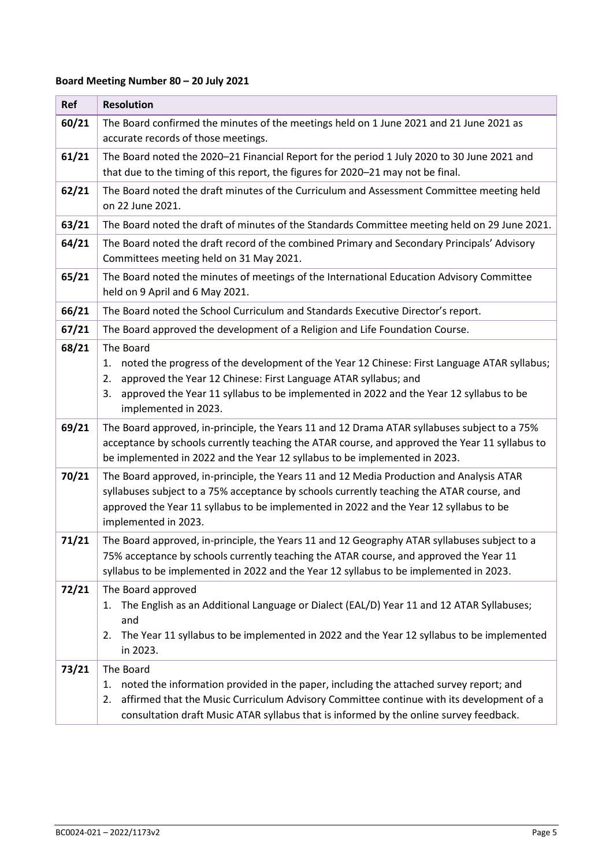### **Board Meeting Number 80 – 20 July 2021**

| Ref   | <b>Resolution</b>                                                                                                                                                                                                                                                                                               |  |
|-------|-----------------------------------------------------------------------------------------------------------------------------------------------------------------------------------------------------------------------------------------------------------------------------------------------------------------|--|
| 60/21 | The Board confirmed the minutes of the meetings held on 1 June 2021 and 21 June 2021 as<br>accurate records of those meetings.                                                                                                                                                                                  |  |
| 61/21 | The Board noted the 2020-21 Financial Report for the period 1 July 2020 to 30 June 2021 and<br>that due to the timing of this report, the figures for 2020-21 may not be final.                                                                                                                                 |  |
| 62/21 | The Board noted the draft minutes of the Curriculum and Assessment Committee meeting held<br>on 22 June 2021.                                                                                                                                                                                                   |  |
| 63/21 | The Board noted the draft of minutes of the Standards Committee meeting held on 29 June 2021.                                                                                                                                                                                                                   |  |
| 64/21 | The Board noted the draft record of the combined Primary and Secondary Principals' Advisory<br>Committees meeting held on 31 May 2021.                                                                                                                                                                          |  |
| 65/21 | The Board noted the minutes of meetings of the International Education Advisory Committee<br>held on 9 April and 6 May 2021.                                                                                                                                                                                    |  |
| 66/21 | The Board noted the School Curriculum and Standards Executive Director's report.                                                                                                                                                                                                                                |  |
| 67/21 | The Board approved the development of a Religion and Life Foundation Course.                                                                                                                                                                                                                                    |  |
| 68/21 | The Board<br>noted the progress of the development of the Year 12 Chinese: First Language ATAR syllabus;<br>1.<br>approved the Year 12 Chinese: First Language ATAR syllabus; and<br>2.<br>approved the Year 11 syllabus to be implemented in 2022 and the Year 12 syllabus to be<br>3.<br>implemented in 2023. |  |
| 69/21 | The Board approved, in-principle, the Years 11 and 12 Drama ATAR syllabuses subject to a 75%<br>acceptance by schools currently teaching the ATAR course, and approved the Year 11 syllabus to<br>be implemented in 2022 and the Year 12 syllabus to be implemented in 2023.                                    |  |
| 70/21 | The Board approved, in-principle, the Years 11 and 12 Media Production and Analysis ATAR<br>syllabuses subject to a 75% acceptance by schools currently teaching the ATAR course, and<br>approved the Year 11 syllabus to be implemented in 2022 and the Year 12 syllabus to be<br>implemented in 2023.         |  |
| 71/21 | The Board approved, in-principle, the Years 11 and 12 Geography ATAR syllabuses subject to a<br>75% acceptance by schools currently teaching the ATAR course, and approved the Year 11<br>syllabus to be implemented in 2022 and the Year 12 syllabus to be implemented in 2023.                                |  |
| 72/21 | The Board approved<br>The English as an Additional Language or Dialect (EAL/D) Year 11 and 12 ATAR Syllabuses;<br>1.<br>and<br>The Year 11 syllabus to be implemented in 2022 and the Year 12 syllabus to be implemented<br>2.<br>in 2023.                                                                      |  |
| 73/21 | The Board<br>noted the information provided in the paper, including the attached survey report; and<br>1.<br>affirmed that the Music Curriculum Advisory Committee continue with its development of a<br>2.<br>consultation draft Music ATAR syllabus that is informed by the online survey feedback.           |  |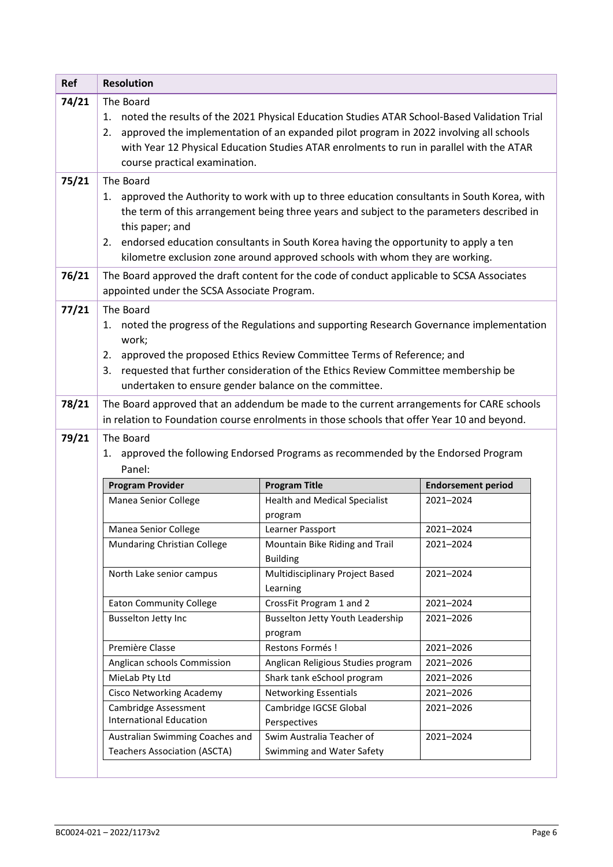| 74/21 | <b>Resolution</b>                                                                                                                                                                                                                                                                                                                                                                                       |                                                                                                                                                                                         |                           |
|-------|---------------------------------------------------------------------------------------------------------------------------------------------------------------------------------------------------------------------------------------------------------------------------------------------------------------------------------------------------------------------------------------------------------|-----------------------------------------------------------------------------------------------------------------------------------------------------------------------------------------|---------------------------|
|       | The Board<br>noted the results of the 2021 Physical Education Studies ATAR School-Based Validation Trial<br>1.<br>approved the implementation of an expanded pilot program in 2022 involving all schools<br>2.<br>with Year 12 Physical Education Studies ATAR enrolments to run in parallel with the ATAR<br>course practical examination.                                                             |                                                                                                                                                                                         |                           |
| 75/21 | The Board<br>1. approved the Authority to work with up to three education consultants in South Korea, with<br>the term of this arrangement being three years and subject to the parameters described in<br>this paper; and<br>endorsed education consultants in South Korea having the opportunity to apply a ten<br>2.<br>kilometre exclusion zone around approved schools with whom they are working. |                                                                                                                                                                                         |                           |
| 76/21 | appointed under the SCSA Associate Program.                                                                                                                                                                                                                                                                                                                                                             | The Board approved the draft content for the code of conduct applicable to SCSA Associates                                                                                              |                           |
| 77/21 | The Board<br>1. noted the progress of the Regulations and supporting Research Governance implementation<br>work;<br>approved the proposed Ethics Review Committee Terms of Reference; and<br>2.<br>requested that further consideration of the Ethics Review Committee membership be<br>3.<br>undertaken to ensure gender balance on the committee.                                                     |                                                                                                                                                                                         |                           |
| 78/21 |                                                                                                                                                                                                                                                                                                                                                                                                         | The Board approved that an addendum be made to the current arrangements for CARE schools<br>in relation to Foundation course enrolments in those schools that offer Year 10 and beyond. |                           |
| 79/21 | The Board<br>1. approved the following Endorsed Programs as recommended by the Endorsed Program                                                                                                                                                                                                                                                                                                         |                                                                                                                                                                                         |                           |
|       | Panel:                                                                                                                                                                                                                                                                                                                                                                                                  |                                                                                                                                                                                         |                           |
|       | <b>Program Provider</b>                                                                                                                                                                                                                                                                                                                                                                                 | <b>Program Title</b>                                                                                                                                                                    | <b>Endorsement period</b> |
|       | Manea Senior College                                                                                                                                                                                                                                                                                                                                                                                    | <b>Health and Medical Specialist</b><br>program                                                                                                                                         | 2021-2024                 |
|       | Manea Senior College                                                                                                                                                                                                                                                                                                                                                                                    | Learner Passport                                                                                                                                                                        | 2021-2024                 |
|       | Mundaring Christian College                                                                                                                                                                                                                                                                                                                                                                             | Mountain Bike Riding and Trail<br><b>Building</b>                                                                                                                                       | 2021-2024                 |
|       | North Lake senior campus                                                                                                                                                                                                                                                                                                                                                                                | Multidisciplinary Project Based<br>Learning                                                                                                                                             | 2021-2024                 |
|       | <b>Eaton Community College</b>                                                                                                                                                                                                                                                                                                                                                                          | CrossFit Program 1 and 2                                                                                                                                                                | 2021-2024                 |
|       | Busselton Jetty Inc                                                                                                                                                                                                                                                                                                                                                                                     | <b>Busselton Jetty Youth Leadership</b><br>program                                                                                                                                      | 2021-2026                 |
|       | Première Classe                                                                                                                                                                                                                                                                                                                                                                                         | Restons Formés !                                                                                                                                                                        | 2021-2026                 |
|       | Anglican schools Commission                                                                                                                                                                                                                                                                                                                                                                             | Anglican Religious Studies program                                                                                                                                                      | 2021-2026                 |
|       | MieLab Pty Ltd                                                                                                                                                                                                                                                                                                                                                                                          | Shark tank eSchool program                                                                                                                                                              | 2021-2026                 |
|       | <b>Cisco Networking Academy</b>                                                                                                                                                                                                                                                                                                                                                                         | <b>Networking Essentials</b>                                                                                                                                                            | 2021-2026                 |
|       | Cambridge Assessment<br><b>International Education</b><br>Australian Swimming Coaches and                                                                                                                                                                                                                                                                                                               | Cambridge IGCSE Global<br>Perspectives<br>Swim Australia Teacher of                                                                                                                     | 2021-2026                 |
|       |                                                                                                                                                                                                                                                                                                                                                                                                         |                                                                                                                                                                                         |                           |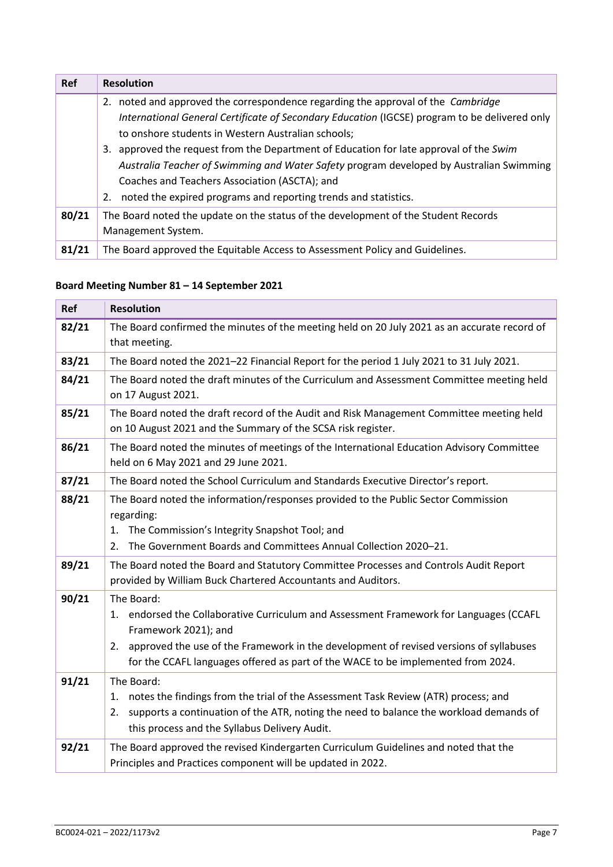| <b>Ref</b> | <b>Resolution</b>                                                                             |
|------------|-----------------------------------------------------------------------------------------------|
|            | 2. noted and approved the correspondence regarding the approval of the <i>Cambridge</i>       |
|            | International General Certificate of Secondary Education (IGCSE) program to be delivered only |
|            | to onshore students in Western Australian schools;                                            |
|            | 3. approved the request from the Department of Education for late approval of the Swim        |
|            | Australia Teacher of Swimming and Water Safety program developed by Australian Swimming       |
|            | Coaches and Teachers Association (ASCTA); and                                                 |
|            | 2. noted the expired programs and reporting trends and statistics.                            |
| 80/21      | The Board noted the update on the status of the development of the Student Records            |
|            | Management System.                                                                            |
| 81/21      | The Board approved the Equitable Access to Assessment Policy and Guidelines.                  |

### **Board Meeting Number 81 – 14 September 2021**

| <b>Ref</b> | <b>Resolution</b>                                                                                                                                                                                                                                                                                                |  |
|------------|------------------------------------------------------------------------------------------------------------------------------------------------------------------------------------------------------------------------------------------------------------------------------------------------------------------|--|
| 82/21      | The Board confirmed the minutes of the meeting held on 20 July 2021 as an accurate record of                                                                                                                                                                                                                     |  |
|            | that meeting.                                                                                                                                                                                                                                                                                                    |  |
| 83/21      | The Board noted the 2021-22 Financial Report for the period 1 July 2021 to 31 July 2021.                                                                                                                                                                                                                         |  |
| 84/21      | The Board noted the draft minutes of the Curriculum and Assessment Committee meeting held<br>on 17 August 2021.                                                                                                                                                                                                  |  |
| 85/21      | The Board noted the draft record of the Audit and Risk Management Committee meeting held<br>on 10 August 2021 and the Summary of the SCSA risk register.                                                                                                                                                         |  |
| 86/21      | The Board noted the minutes of meetings of the International Education Advisory Committee<br>held on 6 May 2021 and 29 June 2021.                                                                                                                                                                                |  |
| 87/21      | The Board noted the School Curriculum and Standards Executive Director's report.                                                                                                                                                                                                                                 |  |
| 88/21      | The Board noted the information/responses provided to the Public Sector Commission<br>regarding:<br>The Commission's Integrity Snapshot Tool; and<br>1.<br>The Government Boards and Committees Annual Collection 2020-21.<br>2.                                                                                 |  |
|            |                                                                                                                                                                                                                                                                                                                  |  |
| 89/21      | The Board noted the Board and Statutory Committee Processes and Controls Audit Report<br>provided by William Buck Chartered Accountants and Auditors.                                                                                                                                                            |  |
| 90/21      | The Board:<br>1. endorsed the Collaborative Curriculum and Assessment Framework for Languages (CCAFL<br>Framework 2021); and<br>approved the use of the Framework in the development of revised versions of syllabuses<br>2.<br>for the CCAFL languages offered as part of the WACE to be implemented from 2024. |  |
| 91/21      | The Board:<br>notes the findings from the trial of the Assessment Task Review (ATR) process; and<br>1.<br>supports a continuation of the ATR, noting the need to balance the workload demands of<br>2.<br>this process and the Syllabus Delivery Audit.                                                          |  |
| 92/21      | The Board approved the revised Kindergarten Curriculum Guidelines and noted that the<br>Principles and Practices component will be updated in 2022.                                                                                                                                                              |  |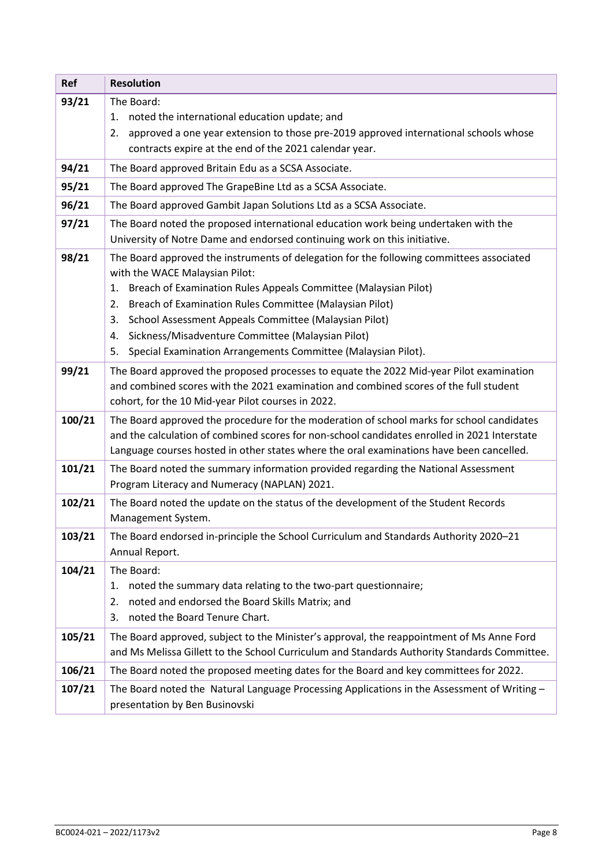| <b>Ref</b> | <b>Resolution</b>                                                                                                                                                                                                                                                                                                                                                                                                                                                     |  |
|------------|-----------------------------------------------------------------------------------------------------------------------------------------------------------------------------------------------------------------------------------------------------------------------------------------------------------------------------------------------------------------------------------------------------------------------------------------------------------------------|--|
| 93/21      | The Board:<br>noted the international education update; and<br>1.<br>approved a one year extension to those pre-2019 approved international schools whose<br>2.<br>contracts expire at the end of the 2021 calendar year.                                                                                                                                                                                                                                             |  |
| 94/21      | The Board approved Britain Edu as a SCSA Associate.                                                                                                                                                                                                                                                                                                                                                                                                                   |  |
| 95/21      | The Board approved The GrapeBine Ltd as a SCSA Associate.                                                                                                                                                                                                                                                                                                                                                                                                             |  |
| 96/21      | The Board approved Gambit Japan Solutions Ltd as a SCSA Associate.                                                                                                                                                                                                                                                                                                                                                                                                    |  |
| 97/21      | The Board noted the proposed international education work being undertaken with the<br>University of Notre Dame and endorsed continuing work on this initiative.                                                                                                                                                                                                                                                                                                      |  |
| 98/21      | The Board approved the instruments of delegation for the following committees associated<br>with the WACE Malaysian Pilot:<br>Breach of Examination Rules Appeals Committee (Malaysian Pilot)<br>1.<br>Breach of Examination Rules Committee (Malaysian Pilot)<br>2.<br>School Assessment Appeals Committee (Malaysian Pilot)<br>3.<br>Sickness/Misadventure Committee (Malaysian Pilot)<br>4.<br>Special Examination Arrangements Committee (Malaysian Pilot).<br>5. |  |
| 99/21      | The Board approved the proposed processes to equate the 2022 Mid-year Pilot examination<br>and combined scores with the 2021 examination and combined scores of the full student<br>cohort, for the 10 Mid-year Pilot courses in 2022.                                                                                                                                                                                                                                |  |
| 100/21     | The Board approved the procedure for the moderation of school marks for school candidates<br>and the calculation of combined scores for non-school candidates enrolled in 2021 Interstate<br>Language courses hosted in other states where the oral examinations have been cancelled.                                                                                                                                                                                 |  |
| 101/21     | The Board noted the summary information provided regarding the National Assessment<br>Program Literacy and Numeracy (NAPLAN) 2021.                                                                                                                                                                                                                                                                                                                                    |  |
| 102/21     | The Board noted the update on the status of the development of the Student Records<br>Management System.                                                                                                                                                                                                                                                                                                                                                              |  |
| 103/21     | The Board endorsed in-principle the School Curriculum and Standards Authority 2020-21<br>Annual Report.                                                                                                                                                                                                                                                                                                                                                               |  |
| 104/21     | The Board:<br>noted the summary data relating to the two-part questionnaire;<br>1.<br>noted and endorsed the Board Skills Matrix; and<br>2.<br>noted the Board Tenure Chart.<br>3.                                                                                                                                                                                                                                                                                    |  |
| 105/21     | The Board approved, subject to the Minister's approval, the reappointment of Ms Anne Ford<br>and Ms Melissa Gillett to the School Curriculum and Standards Authority Standards Committee.                                                                                                                                                                                                                                                                             |  |
| 106/21     | The Board noted the proposed meeting dates for the Board and key committees for 2022.                                                                                                                                                                                                                                                                                                                                                                                 |  |
| 107/21     | The Board noted the Natural Language Processing Applications in the Assessment of Writing $-$<br>presentation by Ben Businovski                                                                                                                                                                                                                                                                                                                                       |  |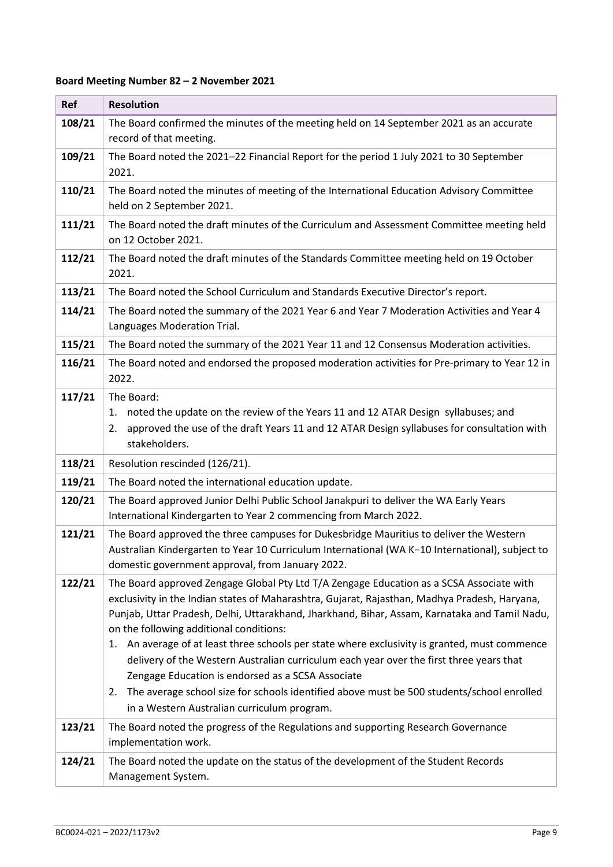### **Board Meeting Number 82 – 2 November 2021**

| <b>Ref</b> | <b>Resolution</b>                                                                                                                                                                                                                                                                                                                                                                                                                                                                                                                                                                                                                                                                                                                        |
|------------|------------------------------------------------------------------------------------------------------------------------------------------------------------------------------------------------------------------------------------------------------------------------------------------------------------------------------------------------------------------------------------------------------------------------------------------------------------------------------------------------------------------------------------------------------------------------------------------------------------------------------------------------------------------------------------------------------------------------------------------|
| 108/21     | The Board confirmed the minutes of the meeting held on 14 September 2021 as an accurate<br>record of that meeting.                                                                                                                                                                                                                                                                                                                                                                                                                                                                                                                                                                                                                       |
| 109/21     | The Board noted the 2021-22 Financial Report for the period 1 July 2021 to 30 September<br>2021.                                                                                                                                                                                                                                                                                                                                                                                                                                                                                                                                                                                                                                         |
| 110/21     | The Board noted the minutes of meeting of the International Education Advisory Committee<br>held on 2 September 2021.                                                                                                                                                                                                                                                                                                                                                                                                                                                                                                                                                                                                                    |
| 111/21     | The Board noted the draft minutes of the Curriculum and Assessment Committee meeting held<br>on 12 October 2021.                                                                                                                                                                                                                                                                                                                                                                                                                                                                                                                                                                                                                         |
| 112/21     | The Board noted the draft minutes of the Standards Committee meeting held on 19 October<br>2021.                                                                                                                                                                                                                                                                                                                                                                                                                                                                                                                                                                                                                                         |
| 113/21     | The Board noted the School Curriculum and Standards Executive Director's report.                                                                                                                                                                                                                                                                                                                                                                                                                                                                                                                                                                                                                                                         |
| 114/21     | The Board noted the summary of the 2021 Year 6 and Year 7 Moderation Activities and Year 4<br>Languages Moderation Trial.                                                                                                                                                                                                                                                                                                                                                                                                                                                                                                                                                                                                                |
| 115/21     | The Board noted the summary of the 2021 Year 11 and 12 Consensus Moderation activities.                                                                                                                                                                                                                                                                                                                                                                                                                                                                                                                                                                                                                                                  |
| 116/21     | The Board noted and endorsed the proposed moderation activities for Pre-primary to Year 12 in<br>2022.                                                                                                                                                                                                                                                                                                                                                                                                                                                                                                                                                                                                                                   |
| 117/21     | The Board:<br>noted the update on the review of the Years 11 and 12 ATAR Design syllabuses; and<br>1.<br>approved the use of the draft Years 11 and 12 ATAR Design syllabuses for consultation with<br>2.<br>stakeholders.                                                                                                                                                                                                                                                                                                                                                                                                                                                                                                               |
| 118/21     | Resolution rescinded (126/21).                                                                                                                                                                                                                                                                                                                                                                                                                                                                                                                                                                                                                                                                                                           |
| 119/21     | The Board noted the international education update.                                                                                                                                                                                                                                                                                                                                                                                                                                                                                                                                                                                                                                                                                      |
| 120/21     | The Board approved Junior Delhi Public School Janakpuri to deliver the WA Early Years<br>International Kindergarten to Year 2 commencing from March 2022.                                                                                                                                                                                                                                                                                                                                                                                                                                                                                                                                                                                |
| 121/21     | The Board approved the three campuses for Dukesbridge Mauritius to deliver the Western<br>Australian Kindergarten to Year 10 Curriculum International (WA K-10 International), subject to<br>domestic government approval, from January 2022.                                                                                                                                                                                                                                                                                                                                                                                                                                                                                            |
| 122/21     | The Board approved Zengage Global Pty Ltd T/A Zengage Education as a SCSA Associate with<br>exclusivity in the Indian states of Maharashtra, Gujarat, Rajasthan, Madhya Pradesh, Haryana,<br>Punjab, Uttar Pradesh, Delhi, Uttarakhand, Jharkhand, Bihar, Assam, Karnataka and Tamil Nadu,<br>on the following additional conditions:<br>1. An average of at least three schools per state where exclusivity is granted, must commence<br>delivery of the Western Australian curriculum each year over the first three years that<br>Zengage Education is endorsed as a SCSA Associate<br>The average school size for schools identified above must be 500 students/school enrolled<br>2.<br>in a Western Australian curriculum program. |
| 123/21     | The Board noted the progress of the Regulations and supporting Research Governance<br>implementation work.                                                                                                                                                                                                                                                                                                                                                                                                                                                                                                                                                                                                                               |
| 124/21     | The Board noted the update on the status of the development of the Student Records<br>Management System.                                                                                                                                                                                                                                                                                                                                                                                                                                                                                                                                                                                                                                 |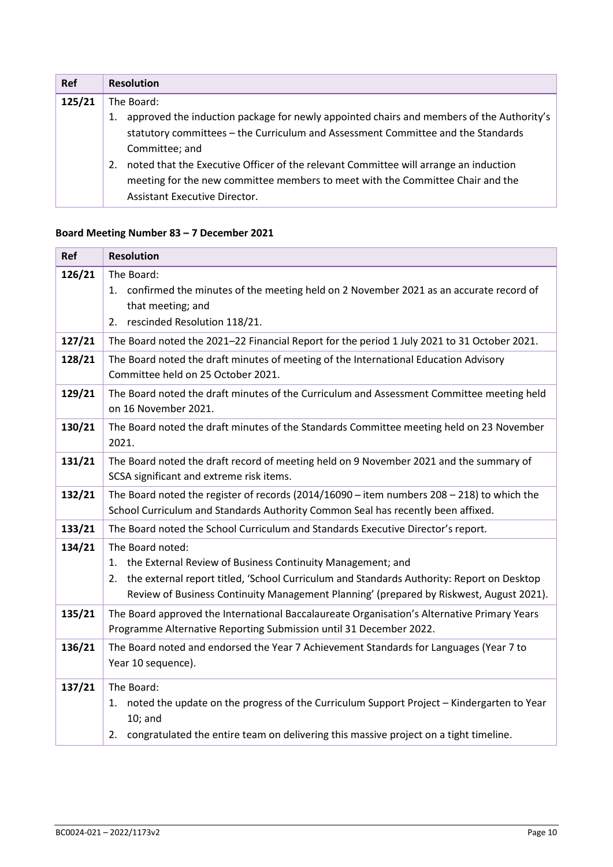| <b>Ref</b> | <b>Resolution</b>                                                                                                                                                                                                                                                                                  |
|------------|----------------------------------------------------------------------------------------------------------------------------------------------------------------------------------------------------------------------------------------------------------------------------------------------------|
| 125/21     | The Board:                                                                                                                                                                                                                                                                                         |
|            | approved the induction package for newly appointed chairs and members of the Authority's<br>1.<br>statutory committees - the Curriculum and Assessment Committee and the Standards<br>Committee; and<br>noted that the Executive Officer of the relevant Committee will arrange an induction<br>2. |
|            | meeting for the new committee members to meet with the Committee Chair and the<br>Assistant Executive Director.                                                                                                                                                                                    |

### **Board Meeting Number 83 – 7 December 2021**

| Ref    | <b>Resolution</b>                                                                                                                                                                                                                                                                  |
|--------|------------------------------------------------------------------------------------------------------------------------------------------------------------------------------------------------------------------------------------------------------------------------------------|
| 126/21 | The Board:<br>1. confirmed the minutes of the meeting held on 2 November 2021 as an accurate record of<br>that meeting; and<br>rescinded Resolution 118/21.<br>2.                                                                                                                  |
| 127/21 | The Board noted the 2021-22 Financial Report for the period 1 July 2021 to 31 October 2021.                                                                                                                                                                                        |
| 128/21 | The Board noted the draft minutes of meeting of the International Education Advisory<br>Committee held on 25 October 2021.                                                                                                                                                         |
| 129/21 | The Board noted the draft minutes of the Curriculum and Assessment Committee meeting held<br>on 16 November 2021.                                                                                                                                                                  |
| 130/21 | The Board noted the draft minutes of the Standards Committee meeting held on 23 November<br>2021.                                                                                                                                                                                  |
| 131/21 | The Board noted the draft record of meeting held on 9 November 2021 and the summary of<br>SCSA significant and extreme risk items.                                                                                                                                                 |
| 132/21 | The Board noted the register of records (2014/16090 - item numbers $208 - 218$ ) to which the<br>School Curriculum and Standards Authority Common Seal has recently been affixed.                                                                                                  |
| 133/21 | The Board noted the School Curriculum and Standards Executive Director's report.                                                                                                                                                                                                   |
| 134/21 | The Board noted:<br>the External Review of Business Continuity Management; and<br>1.<br>the external report titled, 'School Curriculum and Standards Authority: Report on Desktop<br>2.<br>Review of Business Continuity Management Planning' (prepared by Riskwest, August 2021). |
| 135/21 | The Board approved the International Baccalaureate Organisation's Alternative Primary Years<br>Programme Alternative Reporting Submission until 31 December 2022.                                                                                                                  |
| 136/21 | The Board noted and endorsed the Year 7 Achievement Standards for Languages (Year 7 to<br>Year 10 sequence).                                                                                                                                                                       |
| 137/21 | The Board:<br>noted the update on the progress of the Curriculum Support Project - Kindergarten to Year<br>1.<br>$10;$ and<br>congratulated the entire team on delivering this massive project on a tight timeline.<br>2.                                                          |